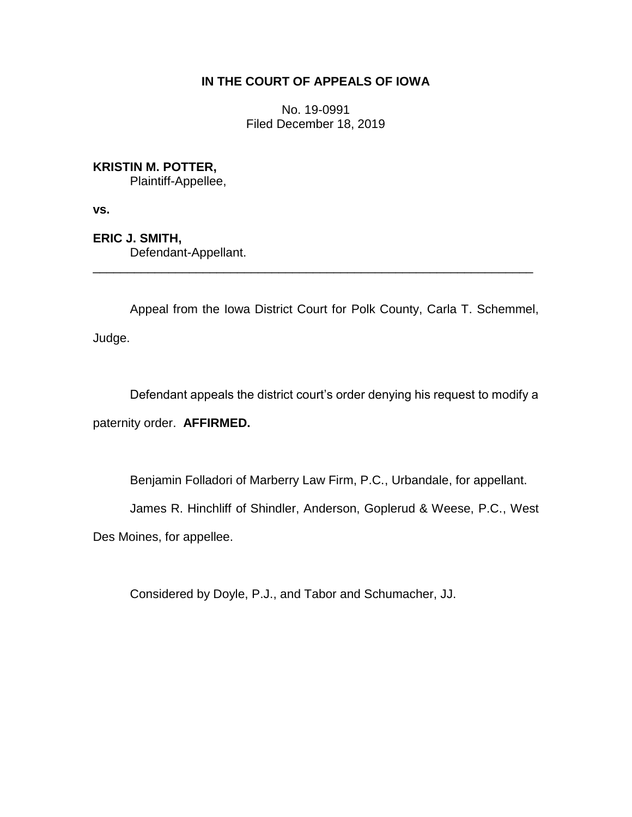# **IN THE COURT OF APPEALS OF IOWA**

No. 19-0991 Filed December 18, 2019

# **KRISTIN M. POTTER,**

Plaintiff-Appellee,

**vs.**

**ERIC J. SMITH,** Defendant-Appellant.

Appeal from the Iowa District Court for Polk County, Carla T. Schemmel, Judge.

\_\_\_\_\_\_\_\_\_\_\_\_\_\_\_\_\_\_\_\_\_\_\_\_\_\_\_\_\_\_\_\_\_\_\_\_\_\_\_\_\_\_\_\_\_\_\_\_\_\_\_\_\_\_\_\_\_\_\_\_\_\_\_\_

Defendant appeals the district court's order denying his request to modify a paternity order. **AFFIRMED.**

Benjamin Folladori of Marberry Law Firm, P.C., Urbandale, for appellant.

James R. Hinchliff of Shindler, Anderson, Goplerud & Weese, P.C., West

Des Moines, for appellee.

Considered by Doyle, P.J., and Tabor and Schumacher, JJ.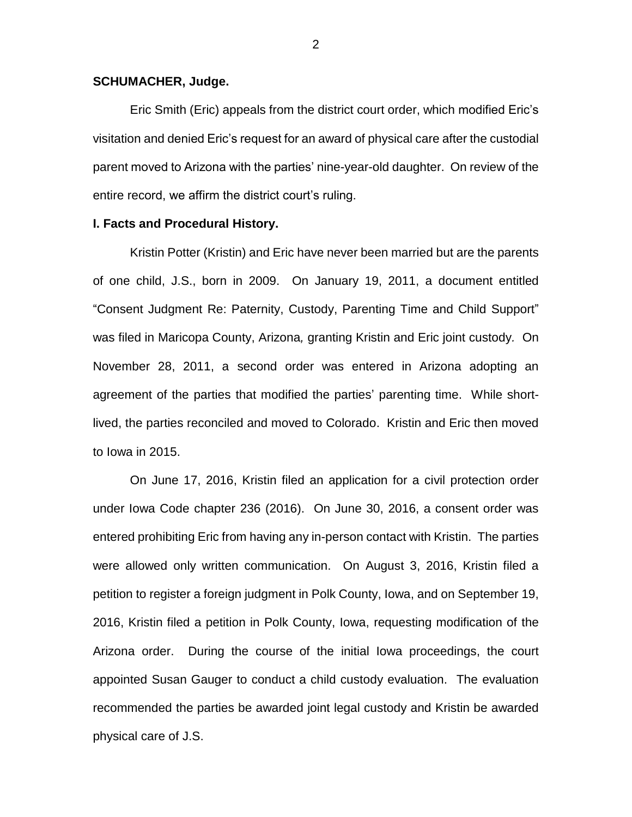### **SCHUMACHER, Judge.**

Eric Smith (Eric) appeals from the district court order, which modified Eric's visitation and denied Eric's request for an award of physical care after the custodial parent moved to Arizona with the parties' nine-year-old daughter. On review of the entire record, we affirm the district court's ruling.

### **I. Facts and Procedural History.**

Kristin Potter (Kristin) and Eric have never been married but are the parents of one child, J.S., born in 2009. On January 19, 2011, a document entitled "Consent Judgment Re: Paternity, Custody, Parenting Time and Child Support" was filed in Maricopa County, Arizona*,* granting Kristin and Eric joint custody*.* On November 28, 2011, a second order was entered in Arizona adopting an agreement of the parties that modified the parties' parenting time. While shortlived, the parties reconciled and moved to Colorado. Kristin and Eric then moved to Iowa in 2015.

On June 17, 2016, Kristin filed an application for a civil protection order under Iowa Code chapter 236 (2016). On June 30, 2016, a consent order was entered prohibiting Eric from having any in-person contact with Kristin. The parties were allowed only written communication. On August 3, 2016, Kristin filed a petition to register a foreign judgment in Polk County, Iowa, and on September 19, 2016, Kristin filed a petition in Polk County, Iowa, requesting modification of the Arizona order. During the course of the initial Iowa proceedings, the court appointed Susan Gauger to conduct a child custody evaluation. The evaluation recommended the parties be awarded joint legal custody and Kristin be awarded physical care of J.S.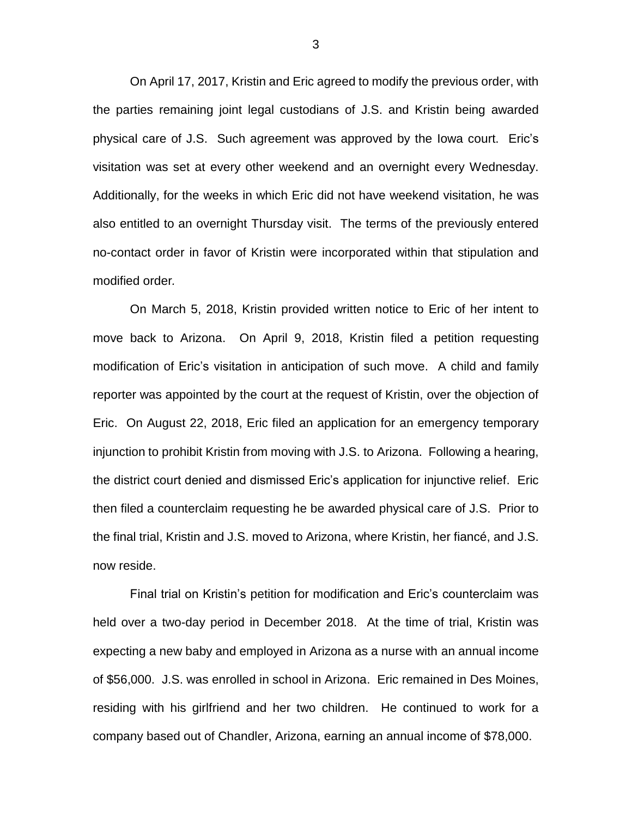On April 17, 2017, Kristin and Eric agreed to modify the previous order, with the parties remaining joint legal custodians of J.S. and Kristin being awarded physical care of J.S. Such agreement was approved by the Iowa court. Eric's visitation was set at every other weekend and an overnight every Wednesday. Additionally, for the weeks in which Eric did not have weekend visitation, he was also entitled to an overnight Thursday visit. The terms of the previously entered no-contact order in favor of Kristin were incorporated within that stipulation and modified order*.*

On March 5, 2018, Kristin provided written notice to Eric of her intent to move back to Arizona. On April 9, 2018, Kristin filed a petition requesting modification of Eric's visitation in anticipation of such move. A child and family reporter was appointed by the court at the request of Kristin, over the objection of Eric. On August 22, 2018, Eric filed an application for an emergency temporary injunction to prohibit Kristin from moving with J.S. to Arizona. Following a hearing, the district court denied and dismissed Eric's application for injunctive relief. Eric then filed a counterclaim requesting he be awarded physical care of J.S. Prior to the final trial, Kristin and J.S. moved to Arizona, where Kristin, her fiancé, and J.S. now reside.

Final trial on Kristin's petition for modification and Eric's counterclaim was held over a two-day period in December 2018. At the time of trial, Kristin was expecting a new baby and employed in Arizona as a nurse with an annual income of \$56,000. J.S. was enrolled in school in Arizona. Eric remained in Des Moines, residing with his girlfriend and her two children. He continued to work for a company based out of Chandler, Arizona, earning an annual income of \$78,000.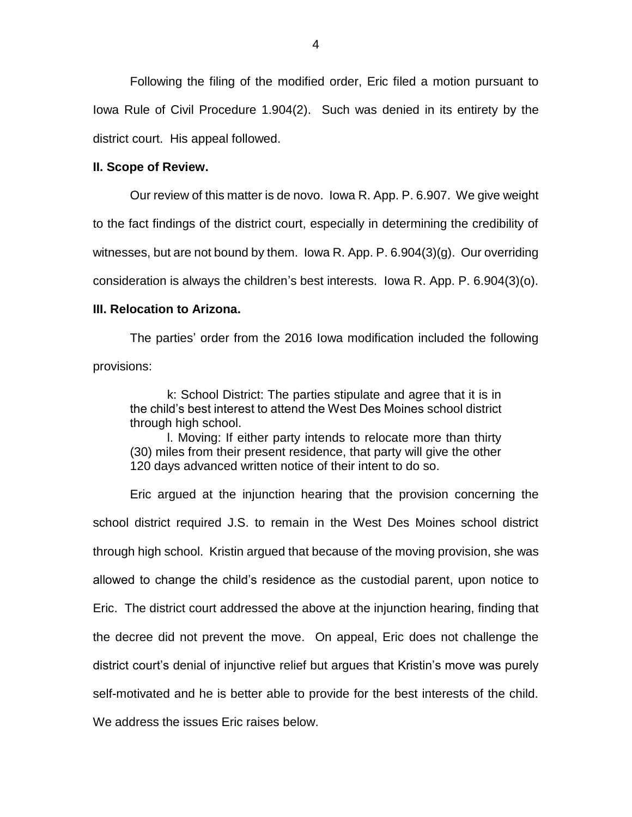Following the filing of the modified order, Eric filed a motion pursuant to Iowa Rule of Civil Procedure 1.904(2). Such was denied in its entirety by the district court. His appeal followed.

### **II. Scope of Review.**

Our review of this matter is de novo. Iowa R. App. P. 6.907. We give weight to the fact findings of the district court, especially in determining the credibility of witnesses, but are not bound by them. Iowa R. App. P. 6.904(3)(g). Our overriding consideration is always the children's best interests. Iowa R. App. P. 6.904(3)(o).

## **III. Relocation to Arizona.**

The parties' order from the 2016 Iowa modification included the following provisions:

k: School District: The parties stipulate and agree that it is in the child's best interest to attend the West Des Moines school district through high school.

l. Moving: If either party intends to relocate more than thirty (30) miles from their present residence, that party will give the other 120 days advanced written notice of their intent to do so.

Eric argued at the injunction hearing that the provision concerning the school district required J.S. to remain in the West Des Moines school district through high school. Kristin argued that because of the moving provision, she was allowed to change the child's residence as the custodial parent, upon notice to Eric. The district court addressed the above at the injunction hearing, finding that the decree did not prevent the move. On appeal, Eric does not challenge the district court's denial of injunctive relief but argues that Kristin's move was purely self-motivated and he is better able to provide for the best interests of the child. We address the issues Eric raises below.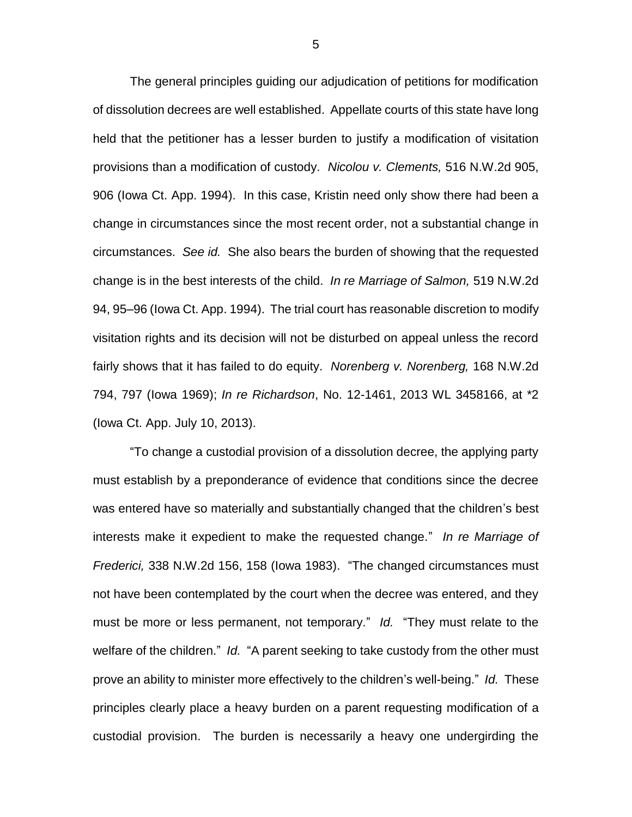The general principles guiding our adjudication of petitions for modification of dissolution decrees are well established. Appellate courts of this state have long held that the petitioner has a lesser burden to justify a modification of visitation provisions than a modification of custody. *Nicolou v. Clements,* 516 N.W.2d 905, 906 (Iowa Ct. App. 1994). In this case, Kristin need only show there had been a change in circumstances since the most recent order, not a substantial change in circumstances. *See id.* She also bears the burden of showing that the requested change is in the best interests of the child. *In re Marriage of Salmon,* 519 N.W.2d 94, 95–96 (Iowa Ct. App. 1994). The trial court has reasonable discretion to modify visitation rights and its decision will not be disturbed on appeal unless the record fairly shows that it has failed to do equity. *Norenberg v. Norenberg,* 168 N.W.2d 794, 797 (Iowa 1969); *In re Richardson*, No. 12-1461, 2013 WL 3458166, at \*2 (Iowa Ct. App. July 10, 2013).

"To change a custodial provision of a dissolution decree, the applying party must establish by a preponderance of evidence that conditions since the decree was entered have so materially and substantially changed that the children's best interests make it expedient to make the requested change." *In re Marriage of Frederici,* 338 N.W.2d 156, 158 (Iowa 1983). "The changed circumstances must not have been contemplated by the court when the decree was entered, and they must be more or less permanent, not temporary." *Id.* "They must relate to the welfare of the children." *Id.* "A parent seeking to take custody from the other must prove an ability to minister more effectively to the children's well-being." *Id.* These principles clearly place a heavy burden on a parent requesting modification of a custodial provision. The burden is necessarily a heavy one undergirding the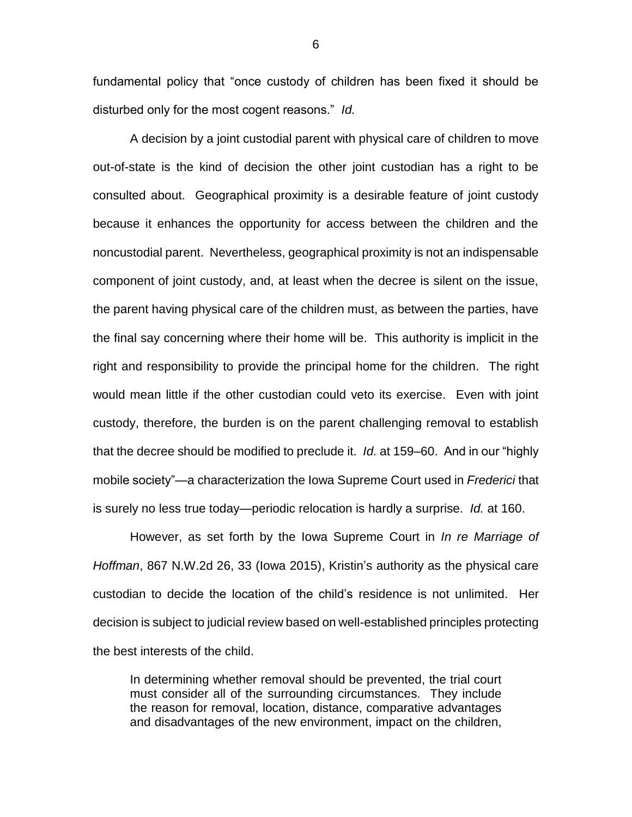fundamental policy that "once custody of children has been fixed it should be disturbed only for the most cogent reasons." *Id.*

A decision by a joint custodial parent with physical care of children to move out-of-state is the kind of decision the other joint custodian has a right to be consulted about. Geographical proximity is a desirable feature of joint custody because it enhances the opportunity for access between the children and the noncustodial parent. Nevertheless, geographical proximity is not an indispensable component of joint custody, and, at least when the decree is silent on the issue, the parent having physical care of the children must, as between the parties, have the final say concerning where their home will be. This authority is implicit in the right and responsibility to provide the principal home for the children. The right would mean little if the other custodian could veto its exercise. Even with joint custody, therefore, the burden is on the parent challenging removal to establish that the decree should be modified to preclude it. *Id.* at 159–60. And in our "highly mobile society"—a characterization the Iowa Supreme Court used in *Frederici* that is surely no less true today—periodic relocation is hardly a surprise. *Id.* at 160.

However, as set forth by the Iowa Supreme Court in *In re Marriage of Hoffman*, 867 N.W.2d 26, 33 (Iowa 2015), Kristin's authority as the physical care custodian to decide the location of the child's residence is not unlimited. Her decision is subject to judicial review based on well-established principles protecting the best interests of the child.

In determining whether removal should be prevented, the trial court must consider all of the surrounding circumstances. They include the reason for removal, location, distance, comparative advantages and disadvantages of the new environment, impact on the children,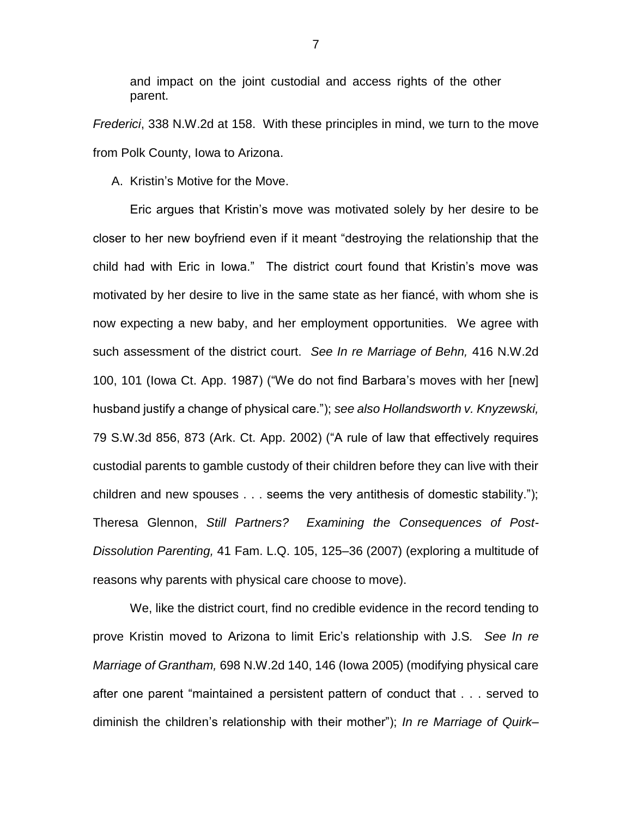and impact on the joint custodial and access rights of the other parent.

*Frederici*, 338 N.W.2d at 158. With these principles in mind, we turn to the move from Polk County, Iowa to Arizona.

A. Kristin's Motive for the Move.

Eric argues that Kristin's move was motivated solely by her desire to be closer to her new boyfriend even if it meant "destroying the relationship that the child had with Eric in Iowa." The district court found that Kristin's move was motivated by her desire to live in the same state as her fiancé, with whom she is now expecting a new baby, and her employment opportunities. We agree with such assessment of the district court. *See In re Marriage of Behn,* 416 N.W.2d 100, 101 (Iowa Ct. App. 1987) ("We do not find Barbara's moves with her [new] husband justify a change of physical care."); *see also Hollandsworth v. Knyzewski,* 79 S.W.3d 856, 873 (Ark. Ct. App. 2002) ("A rule of law that effectively requires custodial parents to gamble custody of their children before they can live with their children and new spouses . . . seems the very antithesis of domestic stability."); Theresa Glennon, *Still Partners? Examining the Consequences of Post-Dissolution Parenting,* 41 Fam. L.Q. 105, 125–36 (2007) (exploring a multitude of reasons why parents with physical care choose to move).

We, like the district court, find no credible evidence in the record tending to prove Kristin moved to Arizona to limit Eric's relationship with J.S*. See In re Marriage of Grantham,* 698 N.W.2d 140, 146 (Iowa 2005) (modifying physical care after one parent "maintained a persistent pattern of conduct that . . . served to diminish the children's relationship with their mother"); *In re Marriage of Quirk–*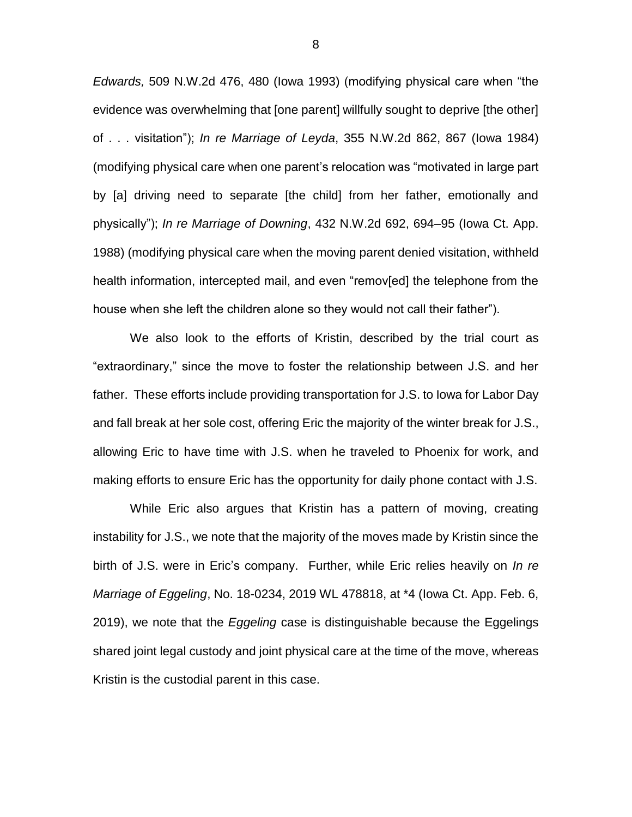*Edwards,* 509 N.W.2d 476, 480 (Iowa 1993) (modifying physical care when "the evidence was overwhelming that [one parent] willfully sought to deprive [the other] of . . . visitation"); *In re Marriage of Leyda*, 355 N.W.2d 862, 867 (Iowa 1984) (modifying physical care when one parent's relocation was "motivated in large part by [a] driving need to separate [the child] from her father, emotionally and physically"); *In re Marriage of Downing*, 432 N.W.2d 692, 694–95 (Iowa Ct. App. 1988) (modifying physical care when the moving parent denied visitation, withheld health information, intercepted mail, and even "remov[ed] the telephone from the house when she left the children alone so they would not call their father").

We also look to the efforts of Kristin, described by the trial court as "extraordinary," since the move to foster the relationship between J.S. and her father. These efforts include providing transportation for J.S. to Iowa for Labor Day and fall break at her sole cost, offering Eric the majority of the winter break for J.S., allowing Eric to have time with J.S. when he traveled to Phoenix for work, and making efforts to ensure Eric has the opportunity for daily phone contact with J.S.

While Eric also argues that Kristin has a pattern of moving, creating instability for J.S., we note that the majority of the moves made by Kristin since the birth of J.S. were in Eric's company. Further, while Eric relies heavily on *In re Marriage of Eggeling*, No. 18-0234, 2019 WL 478818, at \*4 (Iowa Ct. App. Feb. 6, 2019), we note that the *Eggeling* case is distinguishable because the Eggelings shared joint legal custody and joint physical care at the time of the move, whereas Kristin is the custodial parent in this case.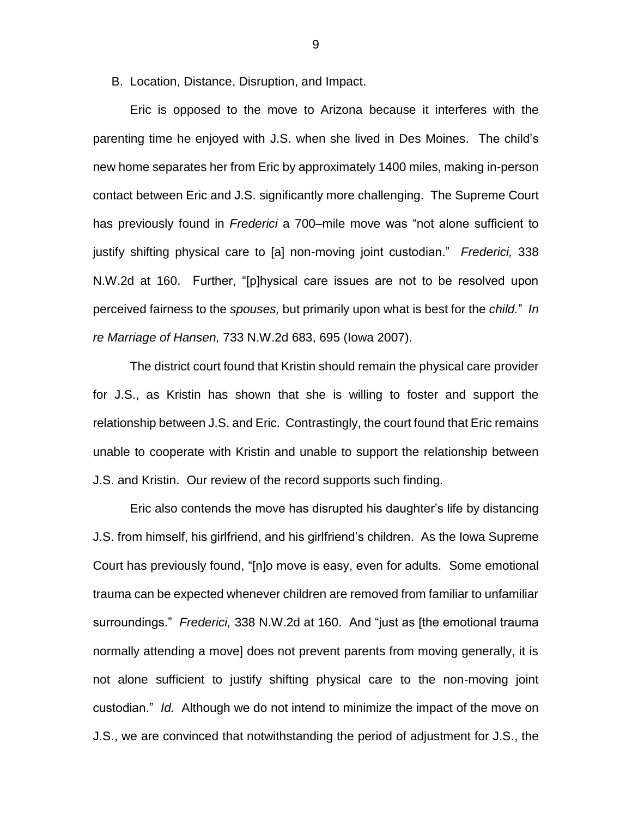B. Location, Distance, Disruption, and Impact.

Eric is opposed to the move to Arizona because it interferes with the parenting time he enjoyed with J.S. when she lived in Des Moines. The child's new home separates her from Eric by approximately 1400 miles, making in-person contact between Eric and J.S. significantly more challenging. The Supreme Court has previously found in *Frederici* a 700–mile move was "not alone sufficient to justify shifting physical care to [a] non-moving joint custodian." *Frederici,* 338 N.W.2d at 160. Further, "[p]hysical care issues are not to be resolved upon perceived fairness to the *spouses,* but primarily upon what is best for the *child.*" *In re Marriage of Hansen,* 733 N.W.2d 683, 695 (Iowa 2007).

The district court found that Kristin should remain the physical care provider for J.S., as Kristin has shown that she is willing to foster and support the relationship between J.S. and Eric. Contrastingly, the court found that Eric remains unable to cooperate with Kristin and unable to support the relationship between J.S. and Kristin. Our review of the record supports such finding.

Eric also contends the move has disrupted his daughter's life by distancing J.S. from himself, his girlfriend, and his girlfriend's children. As the Iowa Supreme Court has previously found, "[n]o move is easy, even for adults. Some emotional trauma can be expected whenever children are removed from familiar to unfamiliar surroundings." *Frederici,* 338 N.W.2d at 160. And "just as [the emotional trauma normally attending a move] does not prevent parents from moving generally, it is not alone sufficient to justify shifting physical care to the non-moving joint custodian." *Id.* Although we do not intend to minimize the impact of the move on J.S., we are convinced that notwithstanding the period of adjustment for J.S., the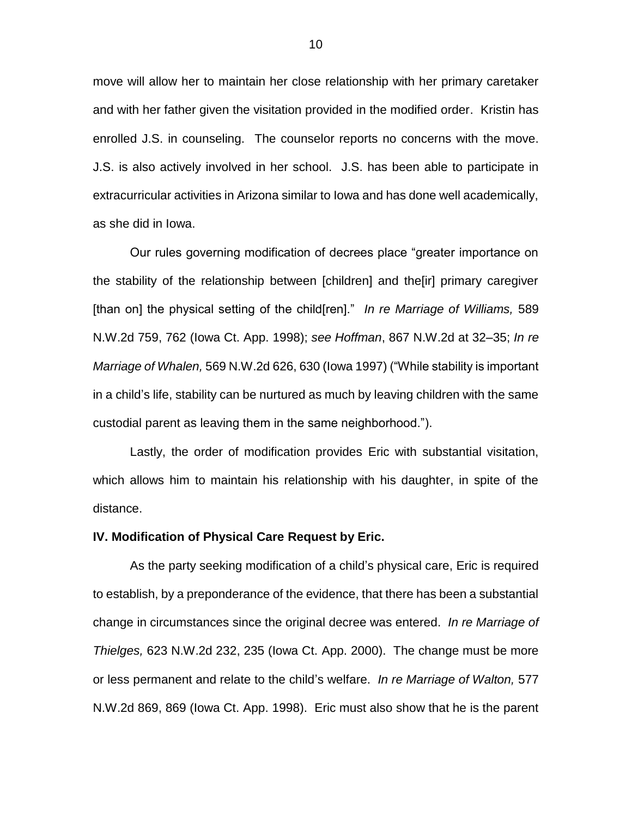move will allow her to maintain her close relationship with her primary caretaker and with her father given the visitation provided in the modified order. Kristin has enrolled J.S. in counseling. The counselor reports no concerns with the move. J.S. is also actively involved in her school. J.S. has been able to participate in extracurricular activities in Arizona similar to Iowa and has done well academically, as she did in Iowa.

Our rules governing modification of decrees place "greater importance on the stability of the relationship between [children] and the[ir] primary caregiver [than on] the physical setting of the child[ren]." *In re Marriage of Williams,* 589 N.W.2d 759, 762 (Iowa Ct. App. 1998); *see Hoffman*, 867 N.W.2d at 32–35; *In re Marriage of Whalen,* 569 N.W.2d 626, 630 (Iowa 1997) ("While stability is important in a child's life, stability can be nurtured as much by leaving children with the same custodial parent as leaving them in the same neighborhood.").

Lastly, the order of modification provides Eric with substantial visitation, which allows him to maintain his relationship with his daughter, in spite of the distance.

#### **IV. Modification of Physical Care Request by Eric.**

As the party seeking modification of a child's physical care, Eric is required to establish, by a preponderance of the evidence, that there has been a substantial change in circumstances since the original decree was entered. *In re Marriage of Thielges,* 623 N.W.2d 232, 235 (Iowa Ct. App. 2000). The change must be more or less permanent and relate to the child's welfare. *In re Marriage of Walton,* 577 N.W.2d 869, 869 (Iowa Ct. App. 1998). Eric must also show that he is the parent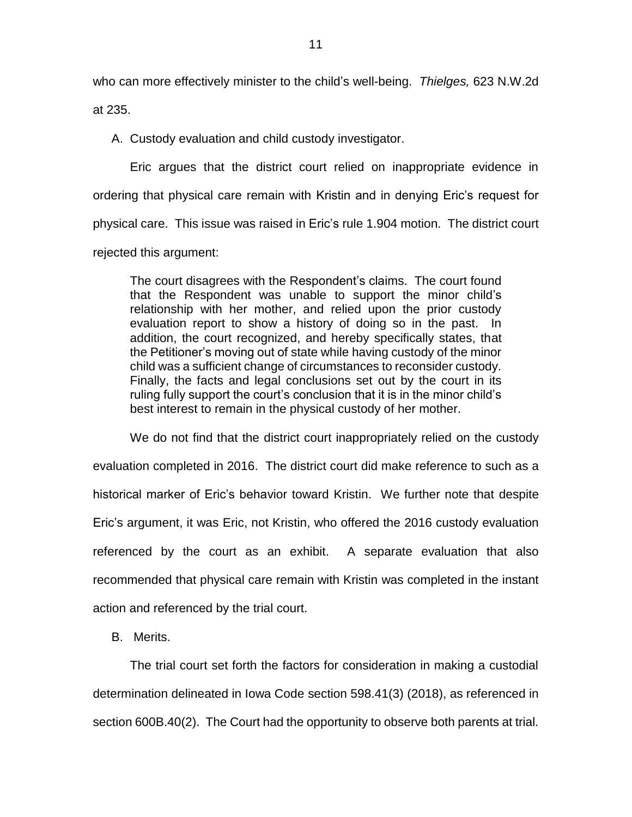who can more effectively minister to the child's well-being. *Thielges,* 623 N.W.2d at 235.

A. Custody evaluation and child custody investigator.

Eric argues that the district court relied on inappropriate evidence in ordering that physical care remain with Kristin and in denying Eric's request for physical care. This issue was raised in Eric's rule 1.904 motion. The district court rejected this argument:

The court disagrees with the Respondent's claims. The court found that the Respondent was unable to support the minor child's relationship with her mother, and relied upon the prior custody evaluation report to show a history of doing so in the past. In addition, the court recognized, and hereby specifically states, that the Petitioner's moving out of state while having custody of the minor child was a sufficient change of circumstances to reconsider custody. Finally, the facts and legal conclusions set out by the court in its ruling fully support the court's conclusion that it is in the minor child's best interest to remain in the physical custody of her mother.

We do not find that the district court inappropriately relied on the custody evaluation completed in 2016. The district court did make reference to such as a historical marker of Eric's behavior toward Kristin. We further note that despite Eric's argument, it was Eric, not Kristin, who offered the 2016 custody evaluation referenced by the court as an exhibit. A separate evaluation that also recommended that physical care remain with Kristin was completed in the instant action and referenced by the trial court.

B. Merits.

The trial court set forth the factors for consideration in making a custodial determination delineated in Iowa Code section 598.41(3) (2018), as referenced in section 600B.40(2). The Court had the opportunity to observe both parents at trial.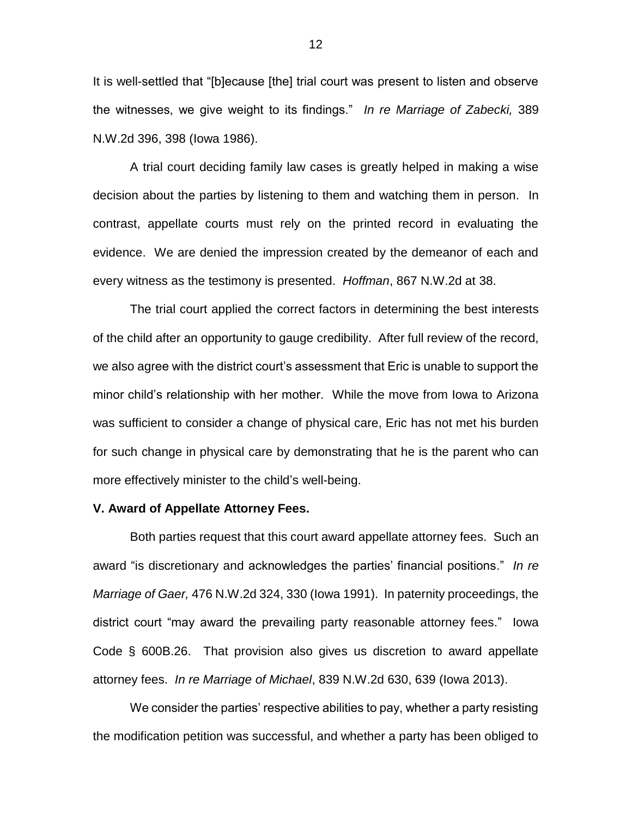It is well-settled that "[b]ecause [the] trial court was present to listen and observe the witnesses, we give weight to its findings." *In re Marriage of Zabecki,* 389 N.W.2d 396, 398 (Iowa 1986).

A trial court deciding family law cases is greatly helped in making a wise decision about the parties by listening to them and watching them in person. In contrast, appellate courts must rely on the printed record in evaluating the evidence. We are denied the impression created by the demeanor of each and every witness as the testimony is presented. *Hoffman*, 867 N.W.2d at 38.

The trial court applied the correct factors in determining the best interests of the child after an opportunity to gauge credibility. After full review of the record, we also agree with the district court's assessment that Eric is unable to support the minor child's relationship with her mother. While the move from Iowa to Arizona was sufficient to consider a change of physical care, Eric has not met his burden for such change in physical care by demonstrating that he is the parent who can more effectively minister to the child's well-being.

### **V. Award of Appellate Attorney Fees.**

Both parties request that this court award appellate attorney fees. Such an award "is discretionary and acknowledges the parties' financial positions." *In re Marriage of Gaer,* 476 N.W.2d 324, 330 (Iowa 1991). In paternity proceedings, the district court "may award the prevailing party reasonable attorney fees." Iowa Code § 600B.26. That provision also gives us discretion to award appellate attorney fees. *In re Marriage of Michael*, 839 N.W.2d 630, 639 (Iowa 2013).

We consider the parties' respective abilities to pay, whether a party resisting the modification petition was successful, and whether a party has been obliged to